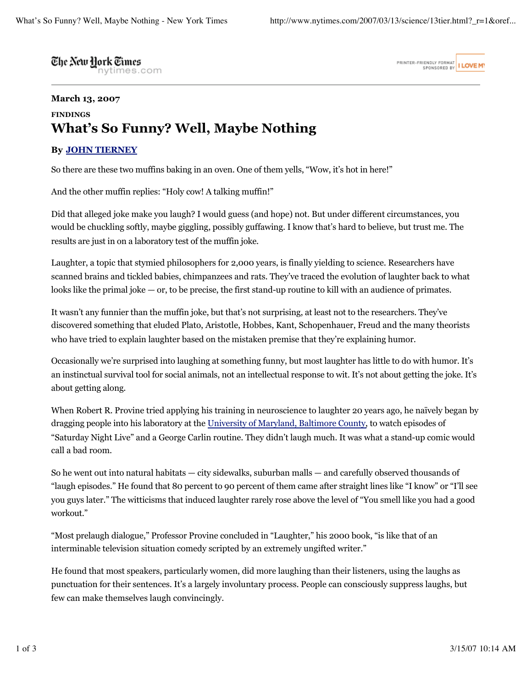The New Hork Times nytimes.com

PRINTER-FRIENDLY FORMAT **I LOVE MT** SPONSORED BY

## **March 13, 2007**

## **FINDINGS What's So Funny? Well, Maybe Nothing**

## **By JOHN TIERNEY**

So there are these two muffins baking in an oven. One of them yells, "Wow, it's hot in here!"

And the other muffin replies: "Holy cow! A talking muffin!"

Did that alleged joke make you laugh? I would guess (and hope) not. But under different circumstances, you would be chuckling softly, maybe giggling, possibly guffawing. I know that's hard to believe, but trust me. The results are just in on a laboratory test of the muffin joke.

Laughter, a topic that stymied philosophers for 2,000 years, is finally yielding to science. Researchers have scanned brains and tickled babies, chimpanzees and rats. They've traced the evolution of laughter back to what looks like the primal joke — or, to be precise, the first stand-up routine to kill with an audience of primates.

It wasn't any funnier than the muffin joke, but that's not surprising, at least not to the researchers. They've discovered something that eluded Plato, Aristotle, Hobbes, Kant, Schopenhauer, Freud and the many theorists who have tried to explain laughter based on the mistaken premise that they're explaining humor.

Occasionally we're surprised into laughing at something funny, but most laughter has little to do with humor. It's an instinctual survival tool for social animals, not an intellectual response to wit. It's not about getting the joke. It's about getting along.

When Robert R. Provine tried applying his training in neuroscience to laughter 20 years ago, he naïvely began by dragging people into his laboratory at the University of Maryland, Baltimore County, to watch episodes of "Saturday Night Live" and a George Carlin routine. They didn't laugh much. It was what a stand-up comic would call a bad room.

So he went out into natural habitats — city sidewalks, suburban malls — and carefully observed thousands of "laugh episodes." He found that 80 percent to 90 percent of them came after straight lines like "I know" or "I'll see you guys later." The witticisms that induced laughter rarely rose above the level of "You smell like you had a good workout."

"Most prelaugh dialogue," Professor Provine concluded in "Laughter," his 2000 book, "is like that of an interminable television situation comedy scripted by an extremely ungifted writer."

He found that most speakers, particularly women, did more laughing than their listeners, using the laughs as punctuation for their sentences. It's a largely involuntary process. People can consciously suppress laughs, but few can make themselves laugh convincingly.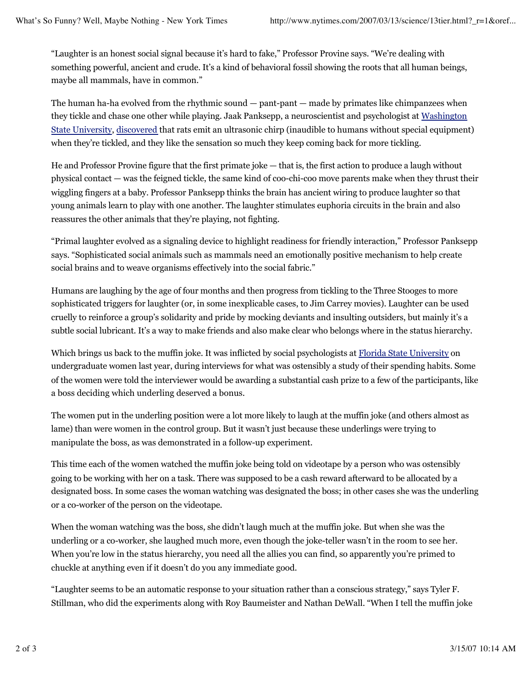"Laughter is an honest social signal because it's hard to fake," Professor Provine says. "We're dealing with something powerful, ancient and crude. It's a kind of behavioral fossil showing the roots that all human beings, maybe all mammals, have in common."

The human ha-ha evolved from the rhythmic sound — pant-pant — made by primates like chimpanzees when they tickle and chase one other while playing. Jaak Panksepp, a neuroscientist and psychologist at Washington State University, discovered that rats emit an ultrasonic chirp (inaudible to humans without special equipment) when they're tickled, and they like the sensation so much they keep coming back for more tickling.

He and Professor Provine figure that the first primate joke — that is, the first action to produce a laugh without physical contact — was the feigned tickle, the same kind of coo-chi-coo move parents make when they thrust their wiggling fingers at a baby. Professor Panksepp thinks the brain has ancient wiring to produce laughter so that young animals learn to play with one another. The laughter stimulates euphoria circuits in the brain and also reassures the other animals that they're playing, not fighting.

"Primal laughter evolved as a signaling device to highlight readiness for friendly interaction," Professor Panksepp says. "Sophisticated social animals such as mammals need an emotionally positive mechanism to help create social brains and to weave organisms effectively into the social fabric."

Humans are laughing by the age of four months and then progress from tickling to the Three Stooges to more sophisticated triggers for laughter (or, in some inexplicable cases, to Jim Carrey movies). Laughter can be used cruelly to reinforce a group's solidarity and pride by mocking deviants and insulting outsiders, but mainly it's a subtle social lubricant. It's a way to make friends and also make clear who belongs where in the status hierarchy.

Which brings us back to the muffin joke. It was inflicted by social psychologists at Florida State University on undergraduate women last year, during interviews for what was ostensibly a study of their spending habits. Some of the women were told the interviewer would be awarding a substantial cash prize to a few of the participants, like a boss deciding which underling deserved a bonus.

The women put in the underling position were a lot more likely to laugh at the muffin joke (and others almost as lame) than were women in the control group. But it wasn't just because these underlings were trying to manipulate the boss, as was demonstrated in a follow-up experiment.

This time each of the women watched the muffin joke being told on videotape by a person who was ostensibly going to be working with her on a task. There was supposed to be a cash reward afterward to be allocated by a designated boss. In some cases the woman watching was designated the boss; in other cases she was the underling or a co-worker of the person on the videotape.

When the woman watching was the boss, she didn't laugh much at the muffin joke. But when she was the underling or a co-worker, she laughed much more, even though the joke-teller wasn't in the room to see her. When you're low in the status hierarchy, you need all the allies you can find, so apparently you're primed to chuckle at anything even if it doesn't do you any immediate good.

"Laughter seems to be an automatic response to your situation rather than a conscious strategy," says Tyler F. Stillman, who did the experiments along with Roy Baumeister and Nathan DeWall. "When I tell the muffin joke